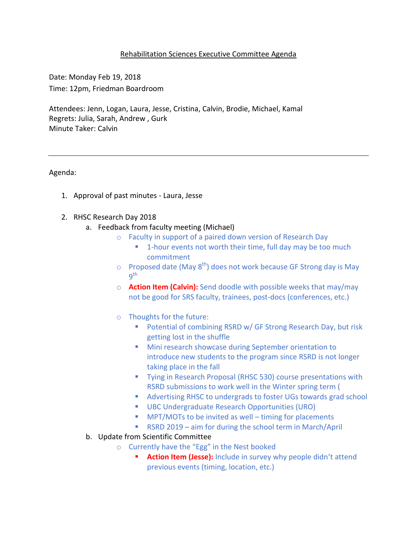## Rehabilitation Sciences Executive Committee Agenda

Date: Monday Feb 19, 2018 Time: 12pm, Friedman Boardroom

Attendees: Jenn, Logan, Laura, Jesse, Cristina, Calvin, Brodie, Michael, Kamal Regrets: Julia, Sarah, Andrew , Gurk Minute Taker: Calvin

Agenda:

1. Approval of past minutes - Laura, Jesse

## 2. RHSC Research Day 2018

- a. Feedback from faculty meeting (Michael)
	- o Faculty in support of a paired down version of Research Day
		- **1-hour events not worth their time, full day may be too much** commitment
	- $\circ$  Proposed date (May 8<sup>th</sup>) does not work because GF Strong day is May 9 th
	- o **Action Item (Calvin):** Send doodle with possible weeks that may/may not be good for SRS faculty, trainees, post-docs (conferences, etc.)
	- o Thoughts for the future:
		- **Potential of combining RSRD w/ GF Strong Research Day, but risk** getting lost in the shuffle
		- **Mini research showcase during September orientation to** introduce new students to the program since RSRD is not longer taking place in the fall
		- **Tying in Research Proposal (RHSC 530) course presentations with** RSRD submissions to work well in the Winter spring term (
		- Advertising RHSC to undergrads to foster UGs towards grad school
		- UBC Undergraduate Research Opportunities (URO)
		- MPT/MOTs to be invited as well timing for placements
		- RSRD 2019 aim for during the school term in March/April
- b. Update from Scientific Committee
	- o Currently have the "Egg" in the Nest booked
		- **Action Item (Jesse):** Include in survey why people didn't attend previous events (timing, location, etc.)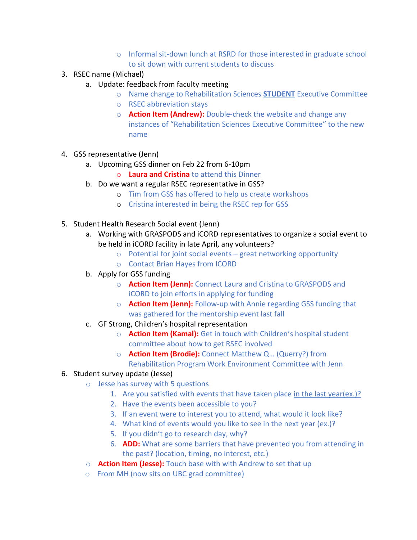- o Informal sit-down lunch at RSRD for those interested in graduate school to sit down with current students to discuss
- 3. RSEC name (Michael)
	- a. Update: feedback from faculty meeting
		- o Name change to Rehabilitation Sciences **STUDENT** Executive Committee
		- o RSEC abbreviation stays
		- o **Action Item (Andrew):** Double-check the website and change any instances of "Rehabilitation Sciences Executive Committee" to the new name
- 4. GSS representative (Jenn)
	- a. Upcoming GSS dinner on Feb 22 from 6-10pm
		- o **Laura and Cristina** to attend this Dinner
	- b. Do we want a regular RSEC representative in GSS?
		- o Tim from GSS has offered to help us create workshops
		- o Cristina interested in being the RSEC rep for GSS
- 5. Student Health Research Social event (Jenn)
	- a. Working with GRASPODS and iCORD representatives to organize a social event to be held in iCORD facility in late April, any volunteers?
		- o Potential for joint social events great networking opportunity
		- o Contact Brian Hayes from ICORD
	- b. Apply for GSS funding
		- o **Action Item (Jenn):** Connect Laura and Cristina to GRASPODS and iCORD to join efforts in applying for funding
		- o **Action Item (Jenn):** Follow-up with Annie regarding GSS funding that was gathered for the mentorship event last fall
	- c. GF Strong, Children's hospital representation
		- o **Action Item (Kamal):** Get in touch with Children's hospital student committee about how to get RSEC involved
		- o **Action Item (Brodie):** Connect Matthew Q… (Querry?) from Rehabilitation Program Work Environment Committee with Jenn

## 6. Student survey update (Jesse)

- o Jesse has survey with 5 questions
	- 1. Are you satisfied with events that have taken place in the last year(ex.)?
	- 2. Have the events been accessible to you?
	- 3. If an event were to interest you to attend, what would it look like?
	- 4. What kind of events would you like to see in the next year (ex.)?
	- 5. If you didn't go to research day, why?
	- 6. **ADD:** What are some barriers that have prevented you from attending in the past? (location, timing, no interest, etc.)
- o **Action Item (Jesse):** Touch base with with Andrew to set that up
- o From MH (now sits on UBC grad committee)